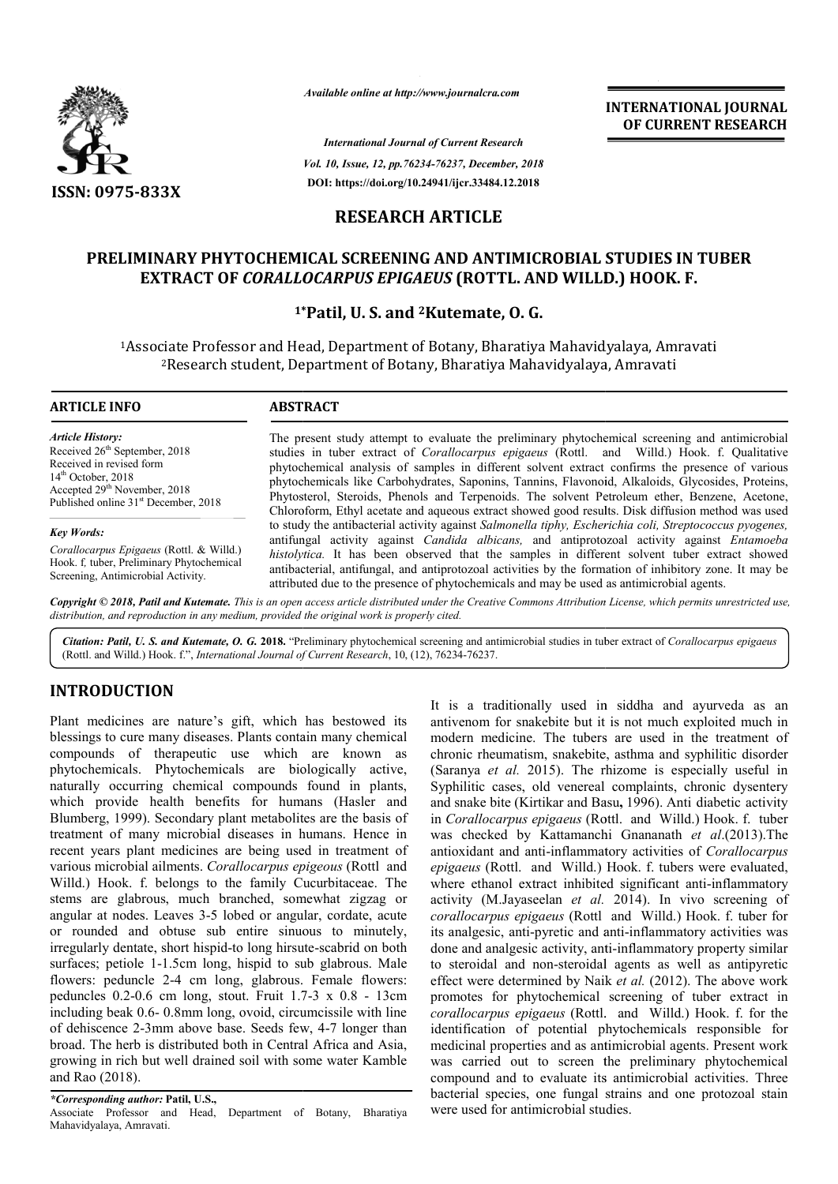

*Available online at http://www.journalcra.com*

*International Journal of Current Research Vol. 10, Issue, 12, pp.76234-76237, December, 2018* **DOI: https://doi.org/10.24941/ijcr.33484.12.2018**

**INTERNATIONAL JOURNAL OF CURRENT RESEARCH**

## **RESEARCH ARTICLE**

# PRELIMINARY PHYTOCHEMICAL SCREENING AND ANTIMICROBIAL STUDIES IN TUBER<br>EXTRACT OF *CORALLOCARPUS EPIGAEUS* (ROTTL. AND WILLD.) HOOK. F. **EXTRACT OF** *CORALLOCARPUS EPIGAEUS* **(ROTTL. AND WILLD.) HOOK. F.**

# **1\* \*Patil, U. S. and 2Kutemate, O. G.**

1Associate Professor and Head, Department of Botany, Bharatiya Mahavidyalaya, Amravati Associate Research riate Professor and Head, Department of Botany, Bharatiya Mahavidyalaya, Am<br><sup>2</sup>Research student, Department of Botany, Bharatiya Mahavidyalaya, Amravati

#### **ARTICLE INFO ABSTRACT**

*Article History:* Received 26<sup>th</sup> September, 2018 Received in revised form 14th October, 2018 Accepted 29<sup>th</sup> November, 2018 Published online 31<sup>st</sup> December, 2018

#### *Key Words:*

*Corallocarpus Epigaeus* (Rottl. & Willd.) Hook. f*,* tuber, Preliminary Phytochemical Screening, Antimicrobial Activity.

The present study attempt to evaluate the preliminary phytochemical screening and antimicrobial The present study attempt to evaluate the preliminary phytochemical screening and antimicrobial studies in tuber extract of *Corallocarpus epigaeus* (Rottl. and Willd.) Hook. f. Qualitative phytochemical analysis of samples in different solvent extract confirms the presence of various phytochemicals like Carbohydrates, Saponins, Tannins, Flavonoid, Alkaloids, Glycosides, Proteins, Phytosterol, Steroids, Phenols and Terpenoids. The solvent Petroleum ether, Benzene, Acetone, Chloroform, Eth Ethyl acetate and aqueous extract showed good results. Disk diffusion method was used to study the antibacterial activity against *Salmonella tiphy, Escherichia coli, Streptococcus pyogenes,* to study the antibacterial activity against Salmonella tiphy, *Escherichia coli*, Streptococcus pyogenes,<br>antifungal activity against *Candida albicans*, and antiprotozoal activity against *Entamoeba histolytica.* It has been observed that the samples in different solvent tuber extract showed antibacterial, antifungal, and antiprotozoal activities by the formation of inhibitory zone. It may be attributed due to the presence of phytochemicals and may be used as antimicrobial agents. phytochemical analysis of samples in different solvent extract confirms the presence of various<br>phytochemicals like Carbohydrates, Saponins, Tannins, Flavonoid, Alkaloids, Glycosides, Proteins,<br>Phytosterol, Steroids, Pheno has been observed that the samples in different solvent tuber<br>antifungal, and antiprotozoal activities by the formation of inhibitory<br>to the presence of phytochemicals and may be used as antimicrobial ag

Copyright © 2018, Patil and Kutemate. This is an open access article distributed under the Creative Commons Attribution License, which permits unrestricted use, *distribution, and reproduction in any medium, provided the original work is properly cited.*

Citation: Patil, U. S. and Kutemate, O. G. 2018. "Preliminary phytochemical screening and antimicrobial studies in tuber extract of Corallocarpus epigaeus (Rottl. and Willd.) Hook. f.", *International Journal of Current Research*, 10, (12), 76234-76237.

#### **INTRODUCTION**

Plant medicines are nature's gift, which has bestowed its blessings to cure many diseases. Plants contain many chemical compounds of therapeutic use which are known as phytochemicals. Phytochemicals are biologically active, naturally occurring chemical compounds found in plants, which provide health benefits for humans (Hasler and Blumberg, 1999). Secondary plant metabolites are the basis of treatment of many microbial diseases in humans. Hence in recent years plant medicines are being used in treatment of various microbial ailments. *Corallocarpus epigeous* (Rottl and Willd.) Hook. f. belongs to the family Cucurbitaceae. The stems are glabrous, much branched, somewhat zigzag or angular at nodes. Leaves 3-5 lobed or angular, cordate, acute or rounded and obtuse sub entire sinuous to minutely, irregularly dentate, short hispid-to long hirsute surfaces; petiole 1-1.5cm long, hispid to sub glabrous. Male flowers: peduncle 2-4 cm long, glabrous. Female flowers: surfaces; petiole 1-1.5cm long, hispid to sub glabrous. Male<br>flowers: peduncle 2-4 cm long, glabrous. Female flowers:<br>peduncles 0.2-0.6 cm long, stout. Fruit 1.7-3 x 0.8 - 13cm including beak 0.6- 0.8mm long, ovoid, circumcissile with line of dehiscence 2-3mm above base. Seeds few, 4-7 longer than broad. The herb is distributed both in Central Africa and Asia, growing in rich but well drained soil with some water Kamble and Rao (2018). o the family Cucurbitaceae. The<br>branched, somewhat zigzag or<br>5 lobed or angular, cordate, acute<br>ub entire sinuous to minutely,<br>pid-to long hirsute-scabrid on both It is a traditionally used in siddha and ayurveda as an antivenom for snakebite but it is not much exploited much in modern medicine. The tubers are used in the treatment of chronic rheumatism, snakebite, asthma and syphilitic disorder (Saranya *et al.* 2015). The rhizome is especially useful in Syphilitic cases, old venereal complaints, chronic dysentery and snake bite (Kirtikar and Basu **,** 1996). Anti diabetic activity in *Corallocarpus epigaeus* (Rottl. and Willd.) Hook. f. tuber was checked by Kattamanchi Gnananath *et al*.(2013).The antioxidant and anti-inflammatory activities of inflammatory activities *Corallocarpus epigaeus* (Rottl. and Willd.) Hook. f. tubers were evaluated, where ethanol extract inhibited significant anti-inflammatory activity (M.Jayaseelan *et al.* 2014). In vivo screening of *corallocarpus epigaeus* (Rottl and Willd.) Hook. f. tuber for its analgesic, anti-pyretic and anti pyretic anti-inflammatory activities was done and analgesic activity, anti-inflammatory property similar to steroidal and non-steroidal agents as well as antipyretic effect were determined by Naik *et al.* (2012). The above work promotes for phytochemical screening of tuber extract in promotes for phytochemical screening of tuber extract in *corallocarpus epigaeus* (Rottl. and Willd.) Hook. f. for the identification of potential phytochemicals responsible for identification of potential phytochemicals responsible for<br>medicinal properties and as antimicrobial agents. Present work was carried out to screen the preliminary phytochemical compound and to evaluate its antimicrobial activities. Three bacterial species, one fungal strains and one protozoal stain were used for antimicrobial studies. traditionally used in siddha and ayurveda as<br>m for snakebite but it is not much exploited much<br>medicine. The tubers are used in the treatment<br>heumatism, snakebite, asthma and syphilitic disorc<br>*et al.* 2015). The rhizome i INTERNATIONAL JOURNAL<br>
anthers. 2018<br>
and OF CURRENT RESEARCH<br>
antarchies.<br>
1.1.2.2018<br>
7.<br>
1.1.2.2018<br>
7.<br>
1.1.2.2018<br>
7.<br>
1.1.2.2018<br>
7.<br> **COVENENT STUDIES IN TUBER**<br>
7.<br> **P. O. G.**<br> **c**, **0. C.**<br> **c**, **0. C.**<br> **c**,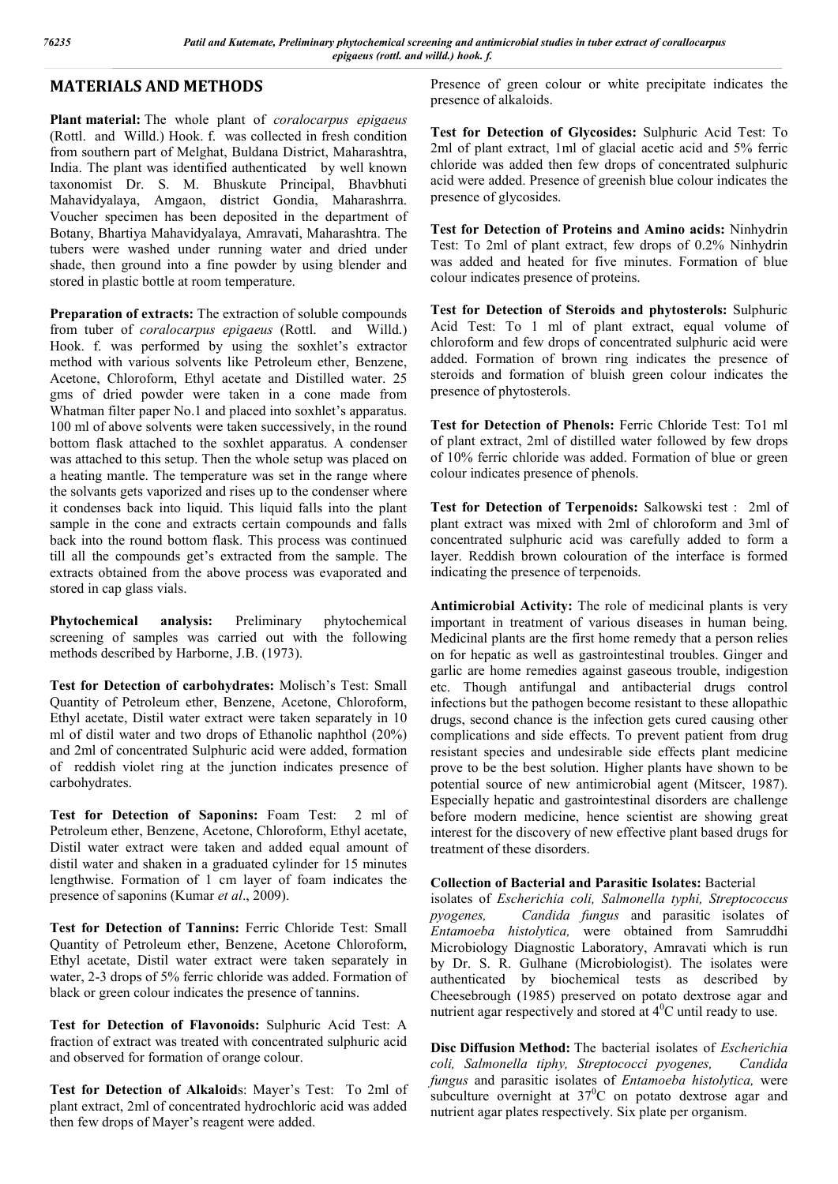# **MATERIALS AND METHODS**

**Plant material:** The whole plant of *coralocarpus epigaeus* (Rottl. and Willd.) Hook. f. was collected in fresh condition from southern part of Melghat, Buldana District, Maharashtra, India. The plant was identified authenticated by well known taxonomist Dr. S. M. Bhuskute Principal, Bhavbhuti Mahavidyalaya, Amgaon, district Gondia, Maharashrra. Voucher specimen has been deposited in the department of Botany, Bhartiya Mahavidyalaya, Amravati, Maharashtra. The tubers were washed under running water and dried under shade, then ground into a fine powder by using blender and stored in plastic bottle at room temperature.

**Preparation of extracts:** The extraction of soluble compounds from tuber of *coralocarpus epigaeus* (Rottl. and Willd.) Hook. f. was performed by using the soxhlet's extractor method with various solvents like Petroleum ether, Benzene, Acetone, Chloroform, Ethyl acetate and Distilled water. 25 gms of dried powder were taken in a cone made from Whatman filter paper No.1 and placed into soxhlet's apparatus. 100 ml of above solvents were taken successively, in the round bottom flask attached to the soxhlet apparatus. A condenser was attached to this setup. Then the whole setup was placed on a heating mantle. The temperature was set in the range where the solvants gets vaporized and rises up to the condenser where it condenses back into liquid. This liquid falls into the plant sample in the cone and extracts certain compounds and falls back into the round bottom flask. This process was continued till all the compounds get's extracted from the sample. The extracts obtained from the above process was evaporated and stored in cap glass vials.

**Phytochemical analysis:** Preliminary phytochemical screening of samples was carried out with the following methods described by Harborne, J.B. (1973).

**Test for Detection of carbohydrates:** Molisch's Test: Small Quantity of Petroleum ether, Benzene, Acetone, Chloroform, Ethyl acetate, Distil water extract were taken separately in 10 ml of distil water and two drops of Ethanolic naphthol (20%) and 2ml of concentrated Sulphuric acid were added, formation of reddish violet ring at the junction indicates presence of carbohydrates.

**Test for Detection of Saponins:** Foam Test: 2 ml of Petroleum ether, Benzene, Acetone, Chloroform, Ethyl acetate, Distil water extract were taken and added equal amount of distil water and shaken in a graduated cylinder for 15 minutes lengthwise. Formation of 1 cm layer of foam indicates the presence of saponins (Kumar *et al*., 2009).

**Test for Detection of Tannins:** Ferric Chloride Test: Small Quantity of Petroleum ether, Benzene, Acetone Chloroform, Ethyl acetate, Distil water extract were taken separately in water, 2-3 drops of 5% ferric chloride was added. Formation of black or green colour indicates the presence of tannins.

**Test for Detection of Flavonoids:** Sulphuric Acid Test: A fraction of extract was treated with concentrated sulphuric acid and observed for formation of orange colour.

**Test for Detection of Alkaloid**s: Mayer's Test: To 2ml of plant extract, 2ml of concentrated hydrochloric acid was added then few drops of Mayer's reagent were added.

Presence of green colour or white precipitate indicates the presence of alkaloids.

**Test for Detection of Glycosides:** Sulphuric Acid Test: To 2ml of plant extract, 1ml of glacial acetic acid and 5% ferric chloride was added then few drops of concentrated sulphuric acid were added. Presence of greenish blue colour indicates the presence of glycosides.

**Test for Detection of Proteins and Amino acids:** Ninhydrin Test: To 2ml of plant extract, few drops of 0.2% Ninhydrin was added and heated for five minutes. Formation of blue colour indicates presence of proteins.

**Test for Detection of Steroids and phytosterols:** Sulphuric Acid Test: To 1 ml of plant extract, equal volume of chloroform and few drops of concentrated sulphuric acid were added. Formation of brown ring indicates the presence of steroids and formation of bluish green colour indicates the presence of phytosterols.

**Test for Detection of Phenols:** Ferric Chloride Test: To1 ml of plant extract, 2ml of distilled water followed by few drops of 10% ferric chloride was added. Formation of blue or green colour indicates presence of phenols.

**Test for Detection of Terpenoids:** Salkowski test : 2ml of plant extract was mixed with 2ml of chloroform and 3ml of concentrated sulphuric acid was carefully added to form a layer. Reddish brown colouration of the interface is formed indicating the presence of terpenoids.

**Antimicrobial Activity:** The role of medicinal plants is very important in treatment of various diseases in human being. Medicinal plants are the first home remedy that a person relies on for hepatic as well as gastrointestinal troubles. Ginger and garlic are home remedies against gaseous trouble, indigestion etc. Though antifungal and antibacterial drugs control infections but the pathogen become resistant to these allopathic drugs, second chance is the infection gets cured causing other complications and side effects. To prevent patient from drug resistant species and undesirable side effects plant medicine prove to be the best solution. Higher plants have shown to be potential source of new antimicrobial agent (Mitscer, 1987). Especially hepatic and gastrointestinal disorders are challenge before modern medicine, hence scientist are showing great interest for the discovery of new effective plant based drugs for treatment of these disorders.

#### **Collection of Bacterial and Parasitic Isolates:** Bacterial

isolates of *Escherichia coli, Salmonella typhi, Streptococcus pyogenes, Candida fungus* and parasitic isolates of *Entamoeba histolytica,* were obtained from Samruddhi Microbiology Diagnostic Laboratory, Amravati which is run by Dr. S. R. Gulhane (Microbiologist). The isolates were authenticated by biochemical tests as described by Cheesebrough (1985) preserved on potato dextrose agar and nutrient agar respectively and stored at  $4^0C$  until ready to use.

**Disc Diffusion Method:** The bacterial isolates of *Escherichia coli, Salmonella tiphy, Streptococci pyogenes, Candida fungus* and parasitic isolates of *Entamoeba histolytica,* were subculture overnight at  $37^{\circ}$ C on potato dextrose agar and nutrient agar plates respectively. Six plate per organism.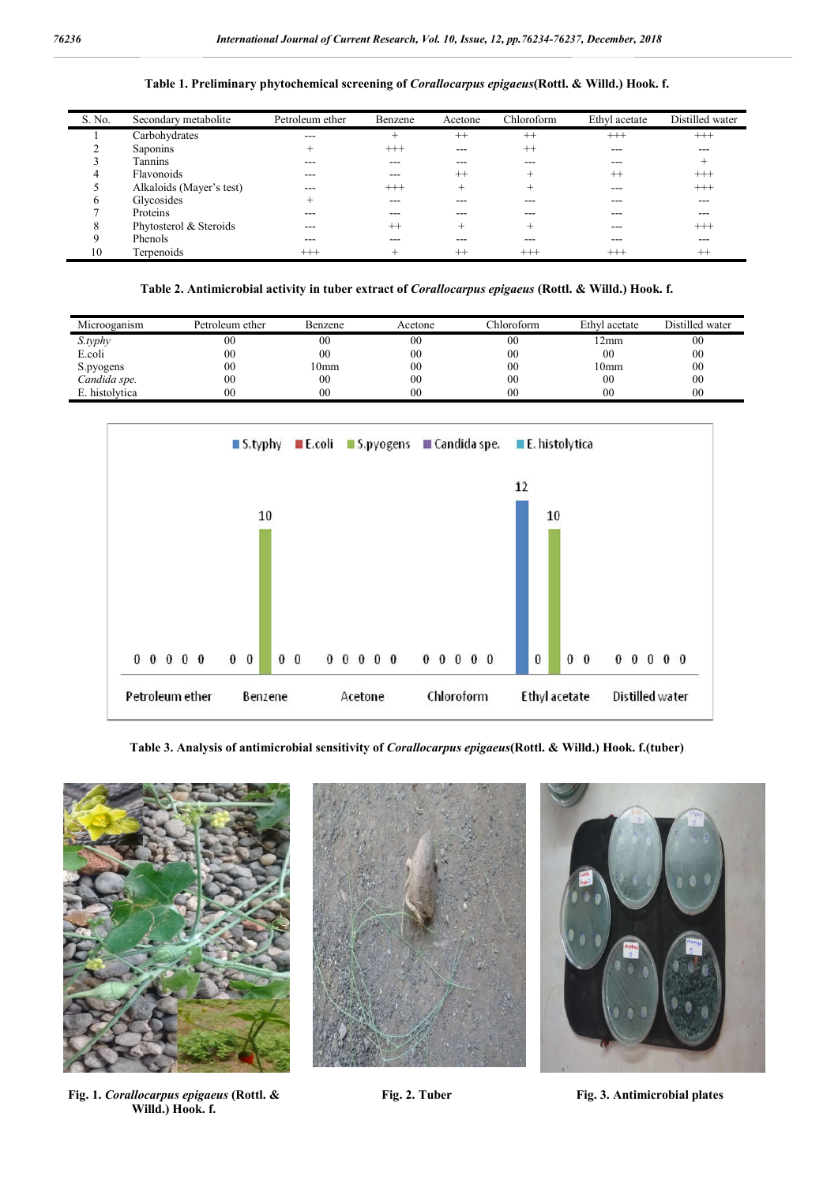#### **Table 1. Preliminary phytochemical screening of** *Corallocarpus epigaeus***(Rottl. & Willd.) Hook. f.**

| S. No.       | Secondary metabolite     | Petroleum ether | Benzene  | Acetone | Chloroform | Ethyl acetate | Distilled water |
|--------------|--------------------------|-----------------|----------|---------|------------|---------------|-----------------|
|              | Carbohydrates            | ---             | $+$      | $^{++}$ | $^{++}$    | $^{+++}$      | $^{+++}$        |
|              | Saponins                 | $\pm$           | $^{+++}$ | ---     | $^{++}$    | $- - -$       | $- - -$         |
|              | Tannins                  | ---             | ---      | ---     |            | ---           | $^+$            |
| 4            | Flavonoids               | ---             | ---      | $^{++}$ |            | $^{++}$       | $^{+++}$        |
|              | Alkaloids (Mayer's test) | ---             | $^{+++}$ |         |            | $- - -$       | $^{+++}$        |
| <sub>(</sub> | Glycosides               | $^+$            | ---      |         |            | ---           | ---             |
|              | Proteins                 | ---             | ---      | ---     |            |               | ---             |
| 8            | Phytosterol & Steroids   | ---             | $^{++}$  |         |            | ---           | $^{+++}$        |
| q            | Phenols                  | ---             |          |         |            | ---           | $\frac{1}{2}$   |
| 10           | Terpenoids               | $^{+++}$        | ┶        | $^{++}$ | $^{+++}$   | $^{+++}$      | $++$            |

**Table 2. Antimicrobial activity in tuber extract of** *Corallocarpus epigaeus* **(Rottl. & Willd.) Hook. f.**

| Microoganism   | Petroleum ether | <b>Benzene</b> | Acetone        | Chloroform     | Ethyl acetate  | Distilled water |
|----------------|-----------------|----------------|----------------|----------------|----------------|-----------------|
| S.typhy        | $00\,$          | $00\,$         | 00             | 00             | 2mm            | 00              |
| E.coli         | $00\,$          | 00             | 0 <sup>0</sup> | 00             | 0 <sub>0</sub> | 00              |
| S.pyogens      | 00              | l 0mm          | 0 <sup>0</sup> | 00             | l 0mm          | 00              |
| Candida spe.   | 0 <sub>0</sub>  | $00\,$         | 00             | 00             | 0 <sub>0</sub> | 00              |
| E. histolvtica | 00              | 00             | 0 <sup>0</sup> | 0 <sup>0</sup> | 0 <sub>0</sub> | 0 <sub>0</sub>  |



**Table 3. Analysis of antimicrobial sensitivity of** *Corallocarpus epigaeus***(Rottl. & Willd.) Hook. f.(tuber)**



**Fig. 1.** *Corallocarpus epigaeus* **(Rottl. & Willd.) Hook. f.**





**Fig. 2. Tuber Fig. 3. Antimicrobial plates**